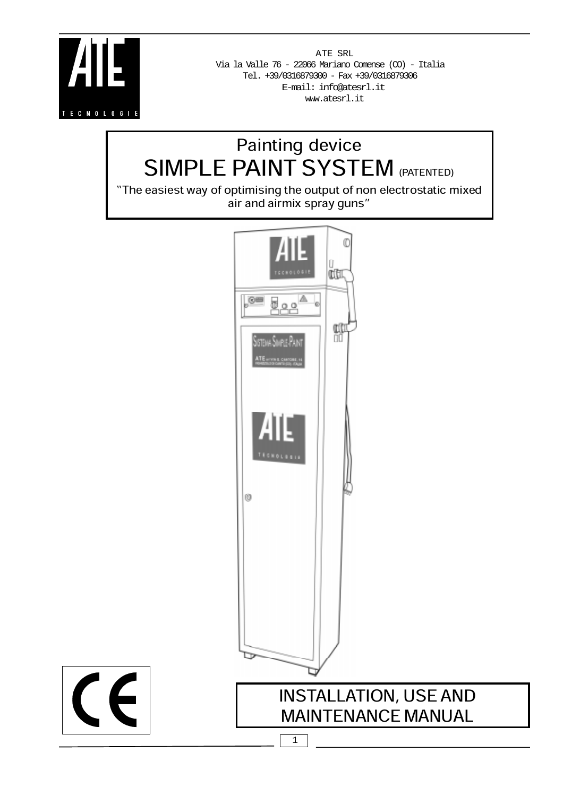

 $\epsilon$ 

ATE SRL E-mail: info@atesrl.it www.atesrl.it Tel. +39/0316879300 - Fax +39/0316879306 Via la Valle 76 - 22066 Mariano Comense (CO) - Italia

# Painting device SIMPLE PAINT SYSTEM (PATENTED)

The easiest way of optimising the output of non electrostatic mixed air and airmix spray guns

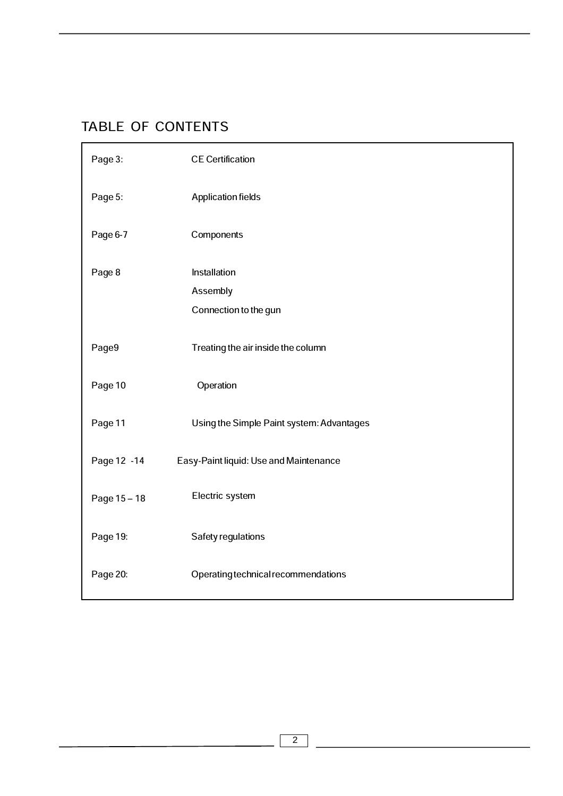# TABLE OF CONTENTS

| Page 3:      | <b>CE Certification</b>                   |
|--------------|-------------------------------------------|
| Page 5:      | <b>Application fields</b>                 |
| Page 6-7     | Components                                |
| Page 8       | Installation                              |
|              | Assembly                                  |
|              | Connection to the gun                     |
| Page9        | Treating the air inside the column        |
| Page 10      | Operation                                 |
| Page 11      | Using the Simple Paint system: Advantages |
| Page 12 - 14 | Easy-Paint liquid: Use and Maintenance    |
| Page 15-18   | Electric system                           |
| Page 19:     | Safety regulations                        |
| Page 20:     | Operating technical recommendations       |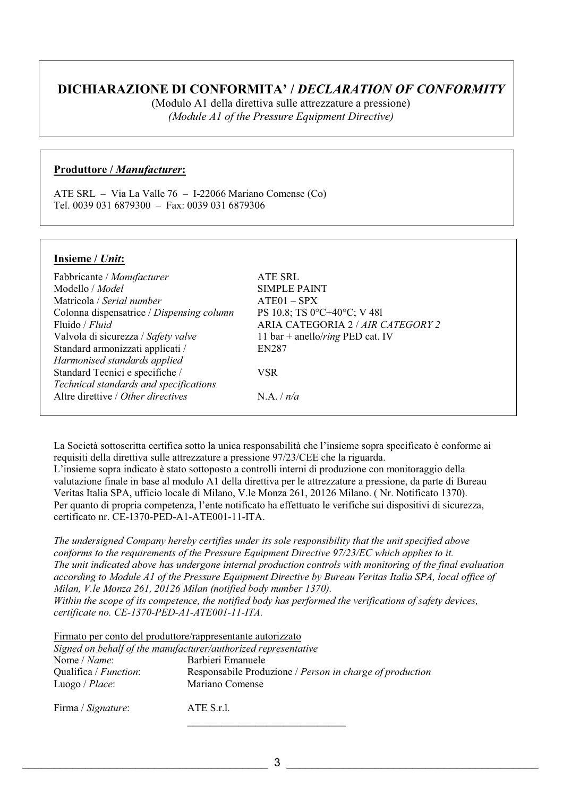## **DICHIARAZIONE DI CONFORMITA' /** *DECLARATION OF CONFORMITY*

(Modulo A1 della direttiva sulle attrezzature a pressione) *(Module A1 of the Pressure Equipment Directive)* 

## **Produttore /** *Manufacturer***:**

ATE SRL – Via La Valle 76 – I-22066 Mariano Comense (Co) Tel. 0039 031 6879300 – Fax: 0039 031 6879306

## **Insieme /** *Unit***:**

| Fabbricante / Manufacturer                | ATE SRL                                  |
|-------------------------------------------|------------------------------------------|
| Modello / <i>Model</i>                    | <b>SIMPLE PAINT</b>                      |
| Matricola / Serial number                 | $ATE01 - SPX$                            |
| Colonna dispensatrice / Dispensing column | PS 10.8; TS 0°C+40°C; V 481              |
| Fluido / Fluid                            | ARIA CATEGORIA 2 / AIR CATEGORY 2        |
| Valvola di sicurezza / Safety valve       | 11 bar + anello/ <i>ring</i> PED cat. IV |
| Standard armonizzati applicati /          | <b>EN287</b>                             |
| Harmonised standards applied              |                                          |
| Standard Tecnici e specifiche /           | VSR.                                     |
| Technical standards and specifications    |                                          |
| Altre direttive / Other directives        | N.A. / n/a                               |
|                                           |                                          |

La Società sottoscritta certifica sotto la unica responsabilità che l'insieme sopra specificato è conforme ai requisiti della direttiva sulle attrezzature a pressione 97/23/CEE che la riguarda.

L'insieme sopra indicato è stato sottoposto a controlli interni di produzione con monitoraggio della valutazione finale in base al modulo A1 della direttiva per le attrezzature a pressione, da parte di Bureau Veritas Italia SPA, ufficio locale di Milano, V.le Monza 261, 20126 Milano. ( Nr. Notificato 1370). Per quanto di propria competenza, l'ente notificato ha effettuato le verifiche sui dispositivi di sicurezza, certificato nr. CE-1370-PED-A1-ATE001-11-ITA.

*The undersigned Company hereby certifies under its sole responsibility that the unit specified above conforms to the requirements of the Pressure Equipment Directive 97/23/EC which applies to it. The unit indicated above has undergone internal production controls with monitoring of the final evaluation according to Module A1 of the Pressure Equipment Directive by Bureau Veritas Italia SPA, local office of Milan, V.le Monza 261, 20126 Milan (notified body number 1370). Within the scope of its competence, the notified body has performed the verifications of safety devices, certificate no. CE-1370-PED-A1-ATE001-11-ITA.*

Firmato per conto del produttore/rappresentante autorizzato

|                                                   | Signed on behalf of the manufacturer/authorized representative              |
|---------------------------------------------------|-----------------------------------------------------------------------------|
| Nome / Name:                                      | Barbieri Emanuele                                                           |
| Qualifica / <i>Function</i> :<br>Luogo / $Place:$ | Responsabile Produzione / Person in charge of production<br>Mariano Comense |
| Firma / Signature:                                | ATE S.r.l.                                                                  |

\_\_\_\_\_\_\_\_\_\_\_\_\_\_\_\_\_\_\_\_\_\_\_\_\_\_\_\_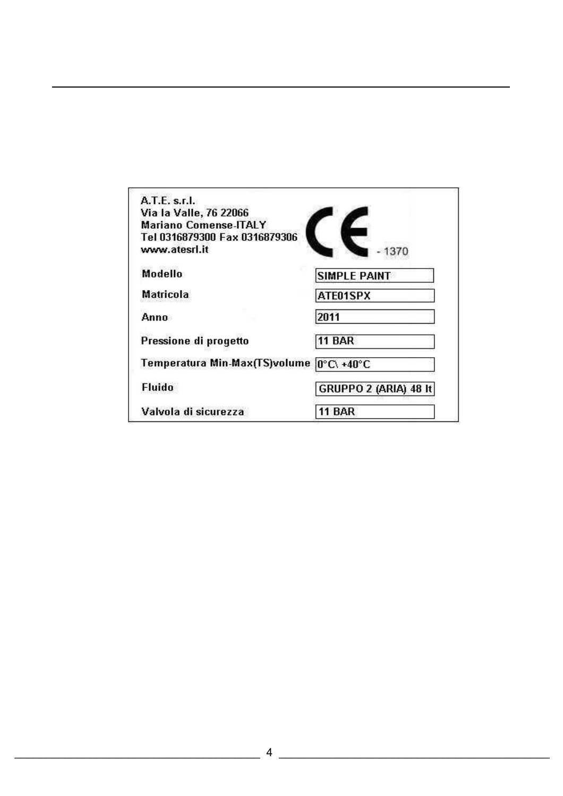| A.T.E. s.f.                   |                              |
|-------------------------------|------------------------------|
| Via la Valle, 76 22066        |                              |
| <b>Mariano Comense-ITALY</b>  |                              |
| Tel 0316879300 Fax 0316879306 |                              |
| www.atesrl.it                 |                              |
| Modello                       | <b>SIMPLE PAINT</b>          |
| <b>Matricola</b>              | ATE01SPX                     |
| Anno                          | 2011                         |
| Pressione di progetto         | 11 BAR                       |
| Temperatura Min-Max(TS)volume | $0^\circ C \cdot 40^\circ C$ |
| Fluido                        | GRUPPO 2 (ARIA) 48 It        |
| Valvola di sicurezza          | <b>11 BAR</b>                |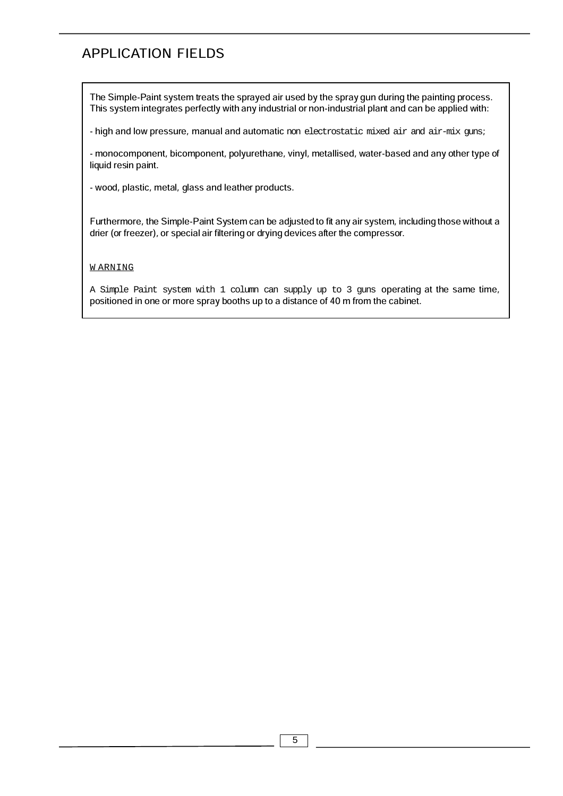## APPLICATION FIELDS

The Simple-Paint system treats the sprayed air used by the spray gun during the painting process. This system integrates perfectly with any industrial or non-industrial plant and can be applied with:

- high and low pressure, manual and automatic non electrostatic mixed air and air-mix guns;

- monocomponent, bicomponent, polyurethane, vinyl, metallised, water-based and any other type of liquid resin paint.

- wood, plastic, metal, glass and leather products.

Furthermore, the Simple-Paint System can be adjusted to fit any air system, including those without a drier (or freezer), or special air filtering or drying devices after the compressor.

#### W ARNING

A Simple Paint system with 1 column can supply up to 3 guns operating at the same time, positioned in one or more spray booths up to a distance of 40 m from the cabinet.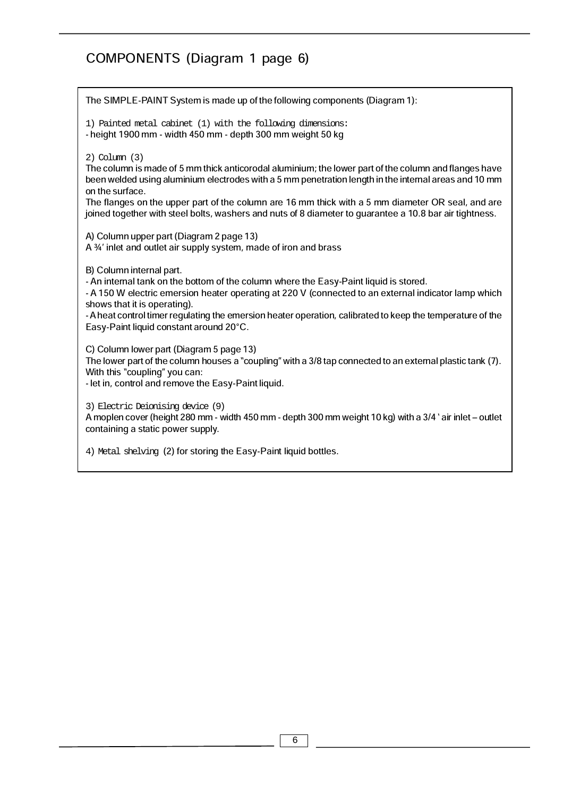# COMPONENTS (Diagram 1 page 6)

| The SIMPLE-PAINT System is made up of the following components (Diagram 1):                                                                                                                                                                                                                                                                                                                                                                                            |
|------------------------------------------------------------------------------------------------------------------------------------------------------------------------------------------------------------------------------------------------------------------------------------------------------------------------------------------------------------------------------------------------------------------------------------------------------------------------|
| 1) Painted metal cabinet (1) with the following dimensions:<br>- height 1900 mm - width 450 mm - depth 300 mm weight 50 kg                                                                                                                                                                                                                                                                                                                                             |
| $2)$ Column $(3)$<br>The column is made of 5 mm thick anticorodal aluminium; the lower part of the column and flanges have<br>been welded using aluminium electrodes with a 5 mm penetration length in the internal areas and 10 mm<br>on the surface.<br>The flanges on the upper part of the column are 16 mm thick with a 5 mm diameter OR seal, and are<br>joined together with steel bolts, washers and nuts of 8 diameter to guarantee a 10.8 bar air tightness. |
| A) Column upper part (Diagram 2 page 13)<br>A 3/4' inlet and outlet air supply system, made of iron and brass                                                                                                                                                                                                                                                                                                                                                          |
| B) Column internal part.<br>- An internal tank on the bottom of the column where the Easy-Paint liquid is stored.<br>- A 150 W electric emersion heater operating at 220 V (connected to an external indicator lamp which<br>shows that it is operating).<br>- A heat control timer regulating the emersion heater operation, calibrated to keep the temperature of the<br>Easy-Paint liquid constant around 20°C.                                                     |
| C) Column lower part (Diagram 5 page 13)<br>The lower part of the column houses a "coupling" with a 3/8 tap connected to an external plastic tank (7).<br>With this "coupling" you can:<br>- let in, control and remove the Easy-Paint liquid.                                                                                                                                                                                                                         |
| 3) Electric Deionising device (9)<br>A moplen cover (height 280 mm - width 450 mm - depth 300 mm weight 10 kg) with a 3/4 'air inlet – outlet<br>containing a static power supply.                                                                                                                                                                                                                                                                                     |
| 4) Metal shelving (2) for storing the Easy-Paint liquid bottles.                                                                                                                                                                                                                                                                                                                                                                                                       |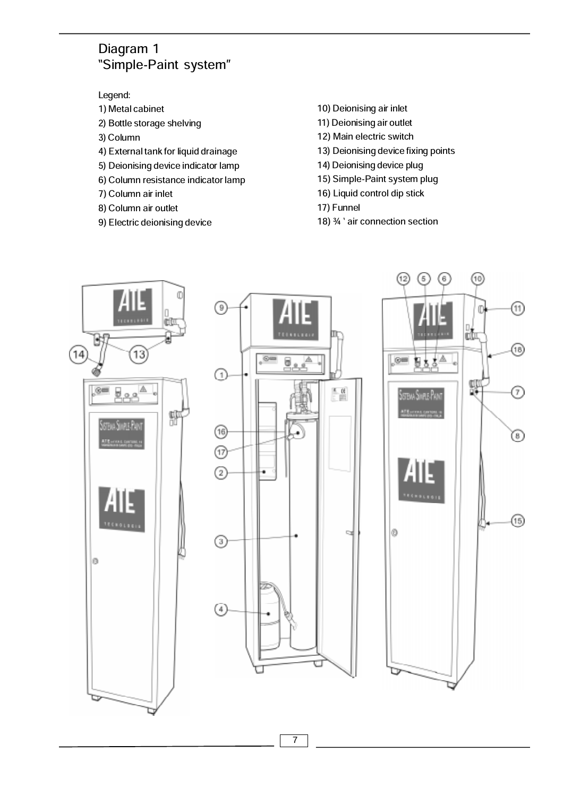## Diagram 1 Simple-Paint system

Legend:

- 1) Metal cabinet
- 2) Bottle storage shelving
- 3) Column
- 4) External tank for liquid drainage
- 5) Deionising device indicator lamp
- 6) Column resistance indicator lamp
- 7) Column air inlet
- 8) Column air outlet
- 9) Electric deionising device
- 10) Deionising air inlet
- 11) Deionising air outlet
- 12) Main electric switch
- 13) Deionising device fixing points
- 14) Deionising device plug
- 15) Simple-Paint system plug
- 16) Liquid control dip stick
- 17) Funnel
- 18) 3/4 ' air connection section

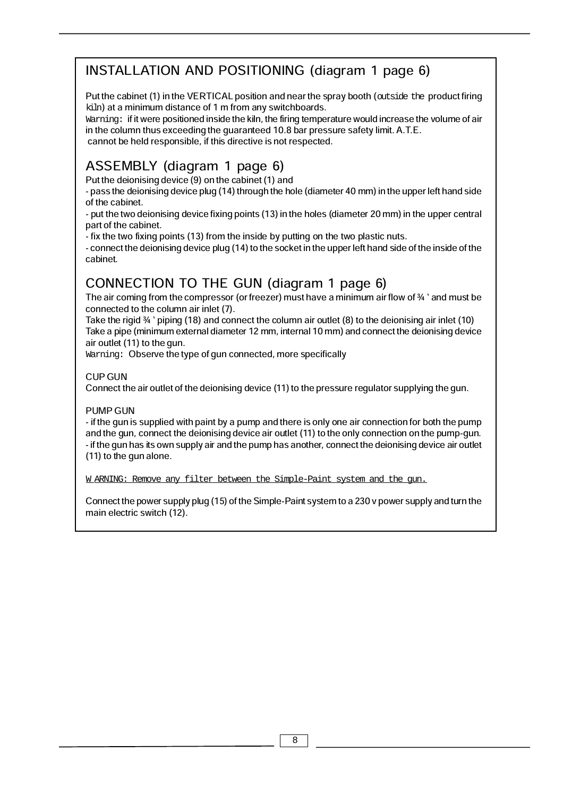# INSTALLATION AND POSITIONING (diagram 1 page 6)

Put the cabinet (1) in the VERTICAL position and near the spray booth (outside the product firing kiln) at a minimum distance of 1 m from any switchboards.

Warning: if it were positioned inside the kiln, the firing temperature would increase the volume of air in the column thus exceeding the guaranteed 10.8 bar pressure safety limit. A.T.E. cannot be held responsible, if this directive is not respected.

# ASSEMBLY (diagram 1 page 6)

Put the deionising device (9) on the cabinet (1) and

- pass the deionising device plug (14) through the hole (diameter 40 mm) in the upper left hand side of the cabinet.

- put the two deionising device fixing points (13) in the holes (diameter 20 mm) in the upper central part of the cabinet.

- fix the two fixing points (13) from the inside by putting on the two plastic nuts.

- connect the deionising device plug (14) to the socket in the upper left hand side of the inside of the cabinet.

# CONNECTION TO THE GUN (diagram 1 page 6)

The air coming from the compressor (or freezer) must have a minimum air flow of  $\frac{3}{4}$  and must be connected to the column air inlet (7).

Take the rigid  $\frac{3}{4}$  ' piping (18) and connect the column air outlet (8) to the deionising air inlet (10) Take a pipe (minimum external diameter 12 mm, internal 10 mm) and connect the deionising device air outlet (11) to the gun.

Warning: Observe the type of gun connected, more specifically

## CUP GUN

Connect the air outlet of the deionising device (11) to the pressure regulator supplying the gun.

## PUMP GUN

- if the gun is supplied with paint by a pump and there is only one air connection for both the pump and the gun, connect the deionising device air outlet (11) to the only connection on the pump-gun. - if the gun has its own supply air and the pump has another, connect the deionising device air outlet (11) to the gun alone.

W ARNING: Remove any filter between the Simple-Paint system and the gun.

Connect the power supply plug (15) of the Simple-Paint system to a 230 v power supply and turn the main electric switch (12).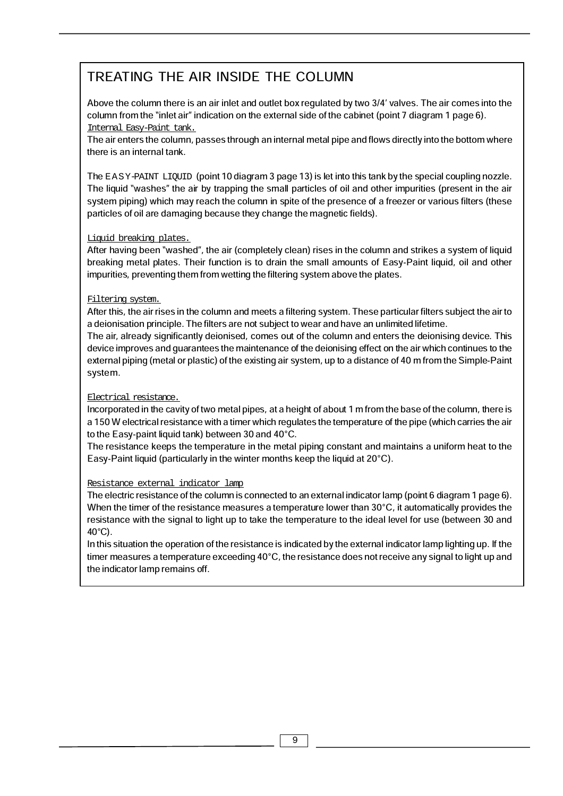# TREATING THE AIR INSIDE THE COLUMN

Above the column there is an air inlet and outlet box regulated by two 3/4 valves. The air comes into the column from the "inlet air" indication on the external side of the cabinet (point 7 diagram 1 page 6). Internal Easy-Paint tank.

The air enters the column, passes through an internal metal pipe and flows directly into the bottom where there is an internal tank.

The EASY-PAINT LIQUID (point 10 diagram 3 page 13) is let into this tank by the special coupling nozzle. The liquid "washes" the air by trapping the small particles of oil and other impurities (present in the air system piping) which may reach the column in spite of the presence of a freezer or various filters (these particles of oil are damaging because they change the magnetic fields).

## Liquid breaking plates.

After having been "washed", the air (completely clean) rises in the column and strikes a system of liquid breaking metal plates. Their function is to drain the small amounts of Easy-Paint liquid, oil and other impurities, preventing them from wetting the filtering system above the plates.

## Filtering system.

After this, the air rises in the column and meets a filtering system. These particular filters subject the air to a deionisation principle. The filters are not subject to wear and have an unlimited lifetime.

The air, already significantly deionised, comes out of the column and enters the deionising device. This device improves and guarantees the maintenance of the deionising effect on the air which continues to the external piping (metal or plastic) of the existing air system, up to a distance of 40 m from the Simple-Paint system.

## Electrical resistance.

Incorporated in the cavity of two metal pipes, at a height of about 1 m from the base of the column, there is a 150 W electrical resistance with a timer which regulates the temperature of the pipe (which carries the air to the Easy-paint liquid tank) between 30 and 40°C.

The resistance keeps the temperature in the metal piping constant and maintains a uniform heat to the Easy-Paint liquid (particularly in the winter months keep the liquid at 20°C).

## Resistance external indicator lamp

The electric resistance of the column is connected to an external indicator lamp (point 6 diagram 1 page 6). When the timer of the resistance measures a temperature lower than 30°C, it automatically provides the resistance with the signal to light up to take the temperature to the ideal level for use (between 30 and 40°C).

In this situation the operation of the resistance is indicated by the external indicator lamp lighting up. If the timer measures a temperature exceeding 40°C, the resistance does not receive any signal to light up and the indicator lamp remains off.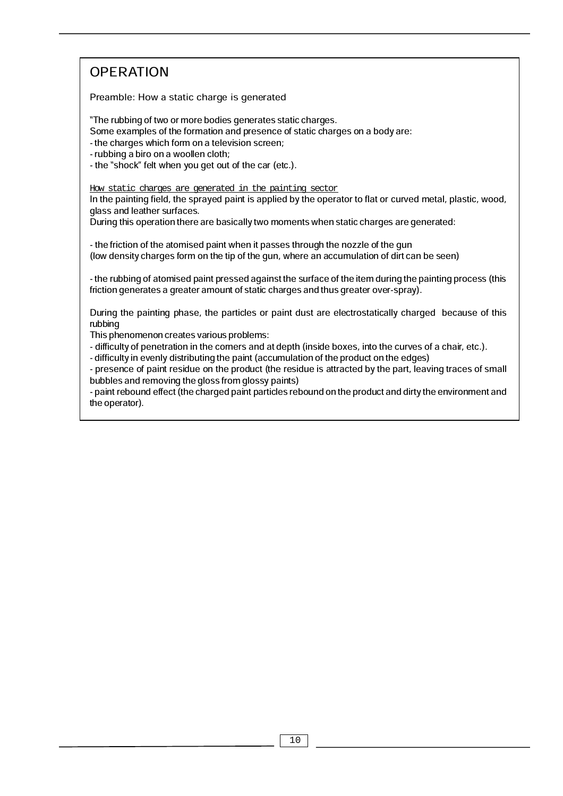# **OPERATION**

Preamble: How a static charge is generated

The rubbing of two or more bodies generates static charges.

Some examples of the formation and presence of static charges on a body are:

- the charges which form on a television screen;

- rubbing a biro on a woollen cloth;

- the "shock" felt when you get out of the car (etc.).

How static charges are generated in the painting sector

In the painting field, the sprayed paint is applied by the operator to flat or curved metal, plastic, wood, glass and leather surfaces.

During this operation there are basically two moments when static charges are generated:

- the friction of the atomised paint when it passes through the nozzle of the gun (low density charges form on the tip of the gun, where an accumulation of dirt can be seen)

- the rubbing of atomised paint pressed against the surface of the item during the painting process (this friction generates a greater amount of static charges and thus greater over-spray).

During the painting phase, the particles or paint dust are electrostatically charged because of this rubbing

This phenomenon creates various problems:

- difficulty of penetration in the corners and at depth (inside boxes, into the curves of a chair, etc.).

- difficulty in evenly distributing the paint (accumulation of the product on the edges)

- presence of paint residue on the product (the residue is attracted by the part, leaving traces of small bubbles and removing the gloss from glossy paints)

- paint rebound effect (the charged paint particles rebound on the product and dirty the environment and the operator).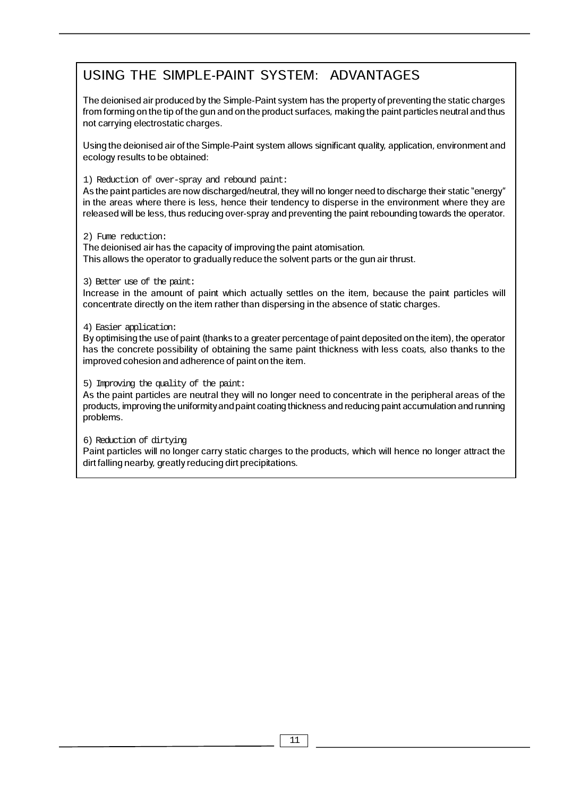# USING THE SIMPLE-PAINT SYSTEM: ADVANTAGES

The deionised air produced by the Simple-Paint system has the property of preventing the static charges from forming on the tip of the gun and on the product surfaces, making the paint particles neutral and thus not carrying electrostatic charges.

Using the deionised air of the Simple-Paint system allows significant quality, application, environment and ecology results to be obtained:

### 1) Reduction of over-spray and rebound paint:

As the paint particles are now discharged/neutral, they will no longer need to discharge their static "energy" in the areas where there is less, hence their tendency to disperse in the environment where they are released will be less, thus reducing over-spray and preventing the paint rebounding towards the operator.

#### 2) Fume reduction:

The deionised air has the capacity of improving the paint atomisation. This allows the operator to gradually reduce the solvent parts or the gun air thrust.

## 3) Better use of the paint:

Increase in the amount of paint which actually settles on the item, because the paint particles will concentrate directly on the item rather than dispersing in the absence of static charges.

## 4) Easier application:

By optimising the use of paint (thanks to a greater percentage of paint deposited on the item), the operator has the concrete possibility of obtaining the same paint thickness with less coats, also thanks to the improved cohesion and adherence of paint on the item.

## 5) Improving the quality of the paint:

As the paint particles are neutral they will no longer need to concentrate in the peripheral areas of the products, improving the uniformity and paint coating thickness and reducing paint accumulation and running problems.

## 6) Reduction of dirtying

Paint particles will no longer carry static charges to the products, which will hence no longer attract the dirt falling nearby, greatly reducing dirt precipitations.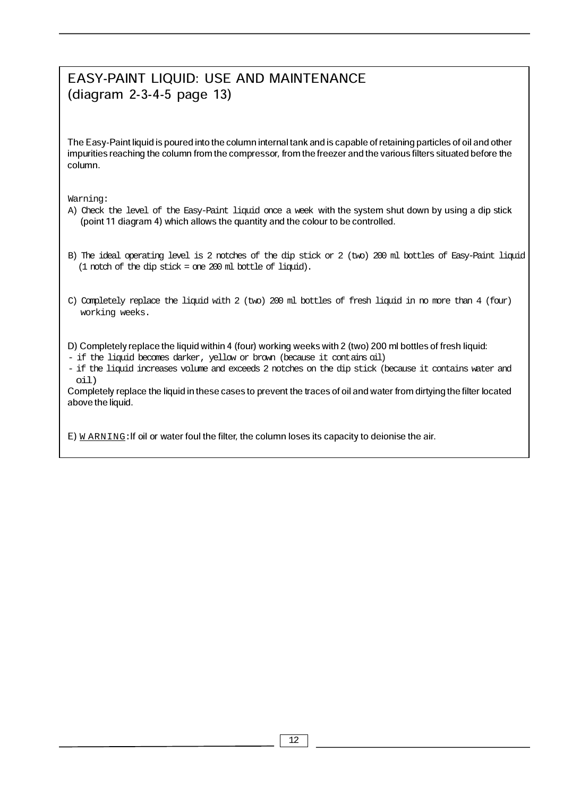# EASY-PAINT LIQUID: USE AND MAINTENANCE (diagram 2-3-4-5 page 13)

The Easy-Paint liquid is poured into the column internal tank and is capable of retaining particles of oil and other impurities reaching the column from the compressor, from the freezer and the various filters situated before the column.

Warning:

- A) Check the level of the Easy-Paint liquid once a week with the system shut down by using a dip stick (point 11 diagram 4) which allows the quantity and the colour to be controlled.
- (1 notch of the dip stick = one 200 ml bottle of liquid). B) The ideal operating level is 2 notches of the dip stick or 2 (two) 200 ml bottles of Easy-Paint liquid
- C) Completely replace the liquid with 2 (two) 200 ml bottles of fresh liquid in no more than 4 (four) working weeks.

D) Completely replace the liquid within 4 (four) working weeks with 2 (two) 200 ml bottles of fresh liquid:

- if the liquid becomes darker, yellow or brown (because it contains oil)
- if the liquid increases volume and exceeds 2 notches on the dip stick (because it contains water and oil)

Completely replace the liquid in these cases to prevent the traces of oil and water from dirtying the filter located above the liquid.

E)  *ARNING: If oil or water foul the filter, the column loses its capacity to deionise the air.*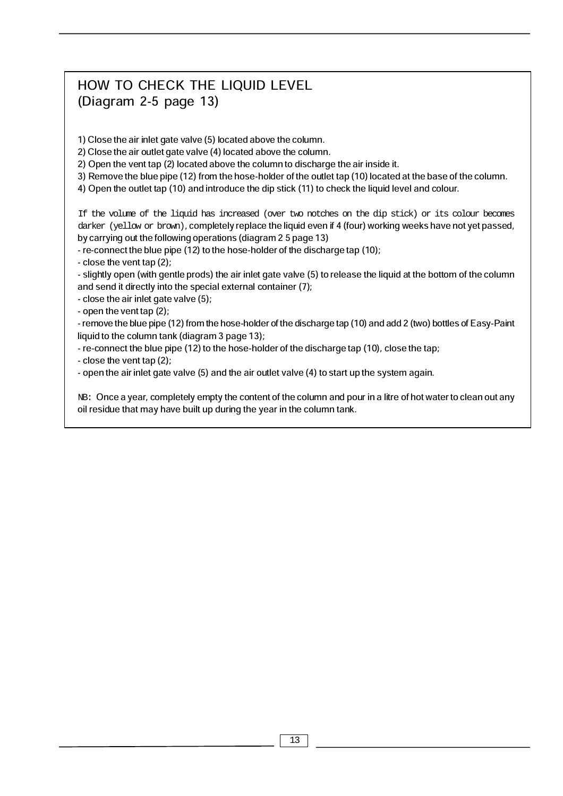# HOW TO CHECK THE LIQUID LEVEL (Diagram 2-5 page 13)

1) Close the air inlet gate valve (5) located above the column.

2) Close the air outlet gate valve (4) located above the column.

2) Open the vent tap (2) located above the column to discharge the air inside it.

3) Remove the blue pipe (12) from the hose-holder of the outlet tap (10) located at the base of the column.

4) Open the outlet tap (10) and introduce the dip stick (11) to check the liquid level and colour.

If the volume of the liquid has increased (over two notches on the dip stick) or its colour becomes darker (yellow or brown), completely replace the liquid even if 4 (four) working weeks have not yet passed, by carrying out the following operations (diagram 2 5 page 13)

- re-connect the blue pipe (12) to the hose-holder of the discharge tap (10);

- close the vent tap (2);

- slightly open (with gentle prods) the air inlet gate valve (5) to release the liquid at the bottom of the column and send it directly into the special external container (7);

- close the air inlet gate valve (5);

- open the vent tap (2);

- remove the blue pipe (12) from the hose-holder of the discharge tap (10) and add 2 (two) bottles of Easy-Paint liquid to the column tank (diagram 3 page 13);

- re-connect the blue pipe (12) to the hose-holder of the discharge tap (10), close the tap;

- close the vent tap (2);

- open the air inlet gate valve (5) and the air outlet valve (4) to start up the system again.

NB: Once a year, completely empty the content of the column and pour in a litre of hot water to clean out any oil residue that may have built up during the year in the column tank.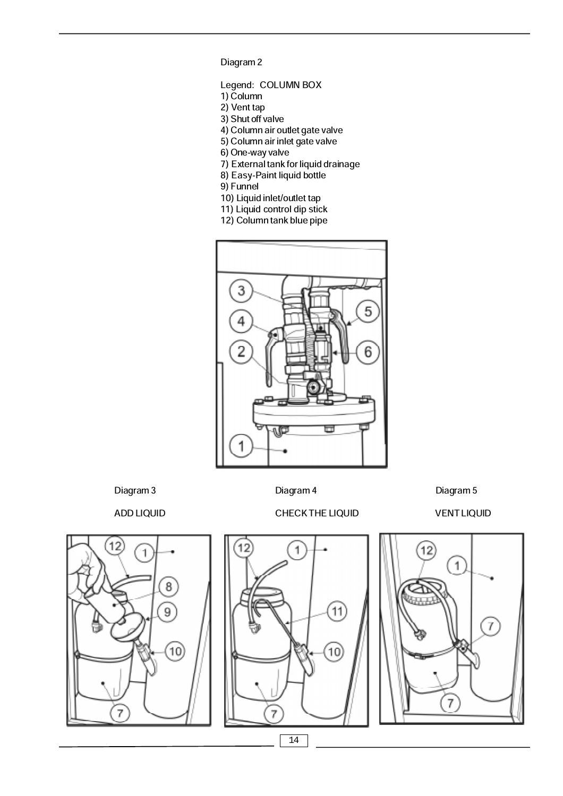Diagram 2

- Legend: COLUMN BOX
- 1) Column
- 2) Vent tap
- 3) Shut off valve
- 4) Column air outlet gate valve
- 5) Column air inlet gate valve
- 6) One-way valve
- 7) External tank for liquid drainage
- 8) Easy-Paint liquid bottle
- 9) Funnel
- 10) Liquid inlet/outlet tap
- 11) Liquid control dip stick
- 12) Column tank blue pipe



Diagram 3 Diagram 4 Diagram 4 Diagram 5

ADD LIQUID CHECK THE LIQUID VENT LIQUID







14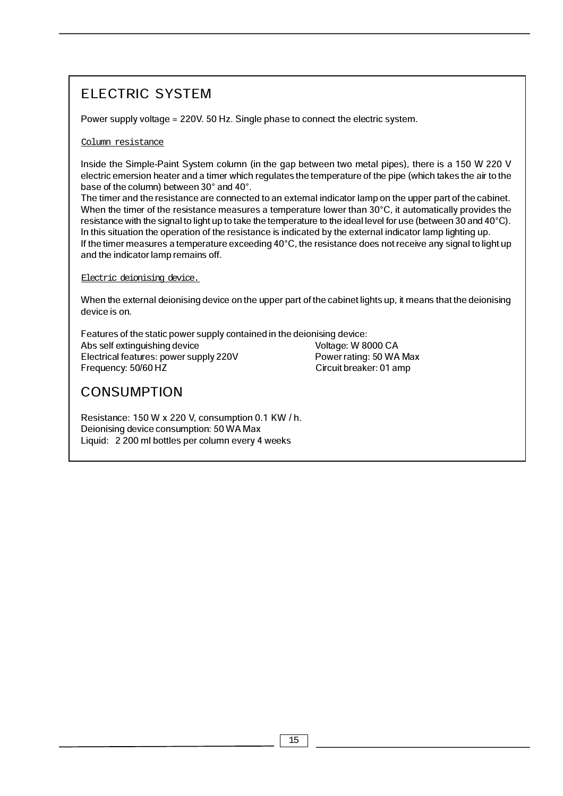# ELECTRIC SYSTEM

Power supply voltage = 220V. 50 Hz. Single phase to connect the electric system.

## Column resistance

Inside the Simple-Paint System column (in the gap between two metal pipes), there is a 150 W 220 V electric emersion heater and a timer which regulates the temperature of the pipe (which takes the air to the base of the column) between 30° and 40°.

The timer and the resistance are connected to an external indicator lamp on the upper part of the cabinet. When the timer of the resistance measures a temperature lower than 30°C, it automatically provides the resistance with the signal to light up to take the temperature to the ideal level for use (between 30 and 40°C). In this situation the operation of the resistance is indicated by the external indicator lamp lighting up. If the timer measures a temperature exceeding 40°C, the resistance does not receive any signal to light up and the indicator lamp remains off.

Electric deionising device.

When the external deionising device on the upper part of the cabinet lights up, it means that the deionising device is on.

Features of the static power supply contained in the deionising device: Abs self extinguishing device<br>
Electrical features: power supply 220V<br>
Power rating: 50 WA Max Electrical features: power supply 220V Frequency: 50/60 HZ Circuit breaker: 01 amp

# **CONSUMPTION**

Resistance: 150 W x 220 V, consumption 0.1 KW / h. Deionising device consumption: 50 WA Max Liquid: 2 200 ml bottles per column every 4 weeks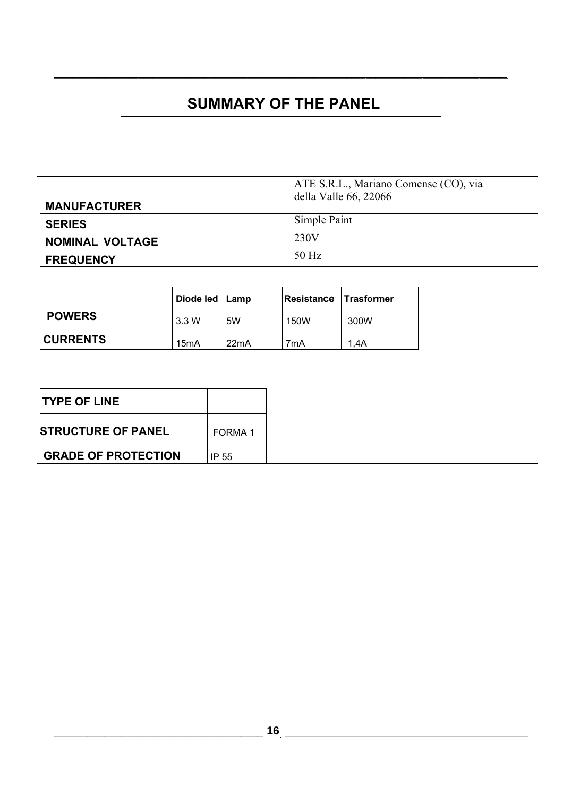# **SUMMARY OF THE PANEL**

 $\_$  ,  $\_$  ,  $\_$  ,  $\_$  ,  $\_$  ,  $\_$  ,  $\_$  ,  $\_$  ,  $\_$  ,  $\_$  ,  $\_$  ,  $\_$  ,  $\_$  ,  $\_$  ,  $\_$  ,  $\_$  ,  $\_$  ,  $\_$  ,  $\_$  ,  $\_$  ,  $\_$  ,  $\_$  ,  $\_$  ,  $\_$  ,  $\_$  ,  $\_$  ,  $\_$  ,  $\_$  ,  $\_$  ,  $\_$  ,  $\_$  ,  $\_$  ,  $\_$  ,  $\_$  ,  $\_$  ,  $\_$  ,  $\_$  ,

|                            |                   |                    |                   | ATE S.R.L., Mariano Comense (CO), via |  |
|----------------------------|-------------------|--------------------|-------------------|---------------------------------------|--|
| <b>MANUFACTURER</b>        |                   |                    |                   | della Valle 66, 22066                 |  |
| <b>SERIES</b>              |                   |                    | Simple Paint      |                                       |  |
| <b>NOMINAL VOLTAGE</b>     |                   |                    | 230V              |                                       |  |
| <b>FREQUENCY</b>           |                   |                    | 50 Hz             |                                       |  |
|                            |                   |                    |                   |                                       |  |
|                            | Diode led $ $     | Lamp               | <b>Resistance</b> | <b>Trasformer</b>                     |  |
| <b>POWERS</b>              | 3.3 W             | 5W                 | 150W              | 300W                                  |  |
| <b>CURRENTS</b>            | 15 <sub>m</sub> A | 22mA               | 7mA               | 1,4A                                  |  |
|                            |                   |                    |                   |                                       |  |
|                            |                   |                    |                   |                                       |  |
| <b>TYPE OF LINE</b>        |                   |                    |                   |                                       |  |
| <b>STRUCTURE OF PANEL</b>  |                   | FORMA <sub>1</sub> |                   |                                       |  |
| <b>GRADE OF PROTECTION</b> |                   | IP 55              |                   |                                       |  |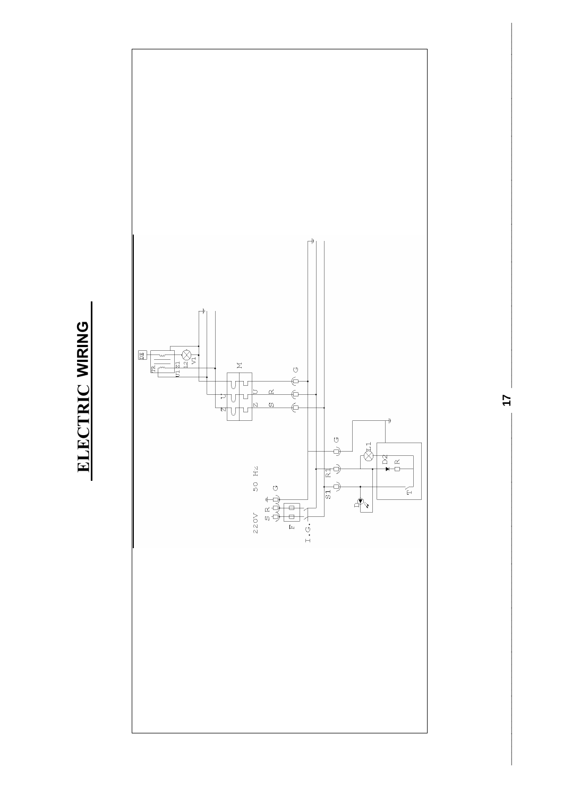



 $\frac{1}{2}$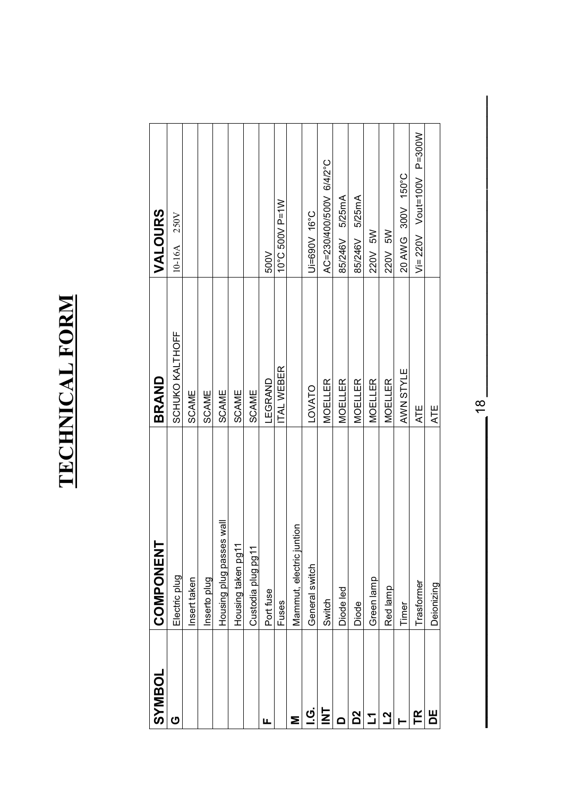# TECHNICAL FORM **TECHNICAL FORM**

| <b>JOSAMSS</b>          | <b>COMPONENT</b>             | BRAND            | VALOURS                      |
|-------------------------|------------------------------|------------------|------------------------------|
| ပ                       | Electric plug                | SCHUKO KALTHOFF  | 10-16A 250V                  |
|                         | Insert taken                 | SCAME            |                              |
|                         | Inserto plug                 | <b>SCAME</b>     |                              |
|                         | Housing plug passes wall     | SCAME            |                              |
|                         | Housing taken pg11           | <b>SCAME</b>     |                              |
|                         | Custodia plug pg11           | <b>SCAME</b>     |                              |
| Щ                       | Port fuse                    | LEGRAND          | 500V                         |
|                         | Fuses                        | <b>TAL WEBER</b> | 10°C 500V P=1W               |
| Σ                       | ntion<br>Mammut, electric ju |                  |                              |
| <u>ن</u><br>آ           | General switch               | LOVATO           | Di=690V 16°C                 |
| $\overline{\mathsf{z}}$ | Switch                       | <b>MOELLER</b>   | AC=230/400/500V 6/4/2°C      |
| ≏                       | Diode led                    | <b>MOELLER</b>   | 85/246V 5/25mA               |
| 2g                      | Diode                        | <b>MOELLER</b>   | 85/246V 5/25mA               |
| Ľ                       | Green lamp                   | <b>MOELLER</b>   | 220V 5W                      |
| <u>21</u>               | Red lamp                     | <b>MOELLER</b>   | 220V 5W                      |
|                         | Timer                        | AWN STYLE        | 20 AWG 300V 150°C            |
| FR                      | Trasformer                   | <b>ATE</b>       | $Vi = 220V$ Vout=100V P=300W |
| Ш                       | Deionizing                   | ATE              |                              |

 $\frac{18}{18}$ **\_\_\_\_\_\_\_\_\_\_\_\_\_\_\_\_\_\_\_\_\_\_\_\_\_\_\_\_\_\_ \_\_\_\_\_\_\_\_\_\_\_\_\_\_\_\_\_\_\_\_\_\_\_\_\_\_\_\_\_**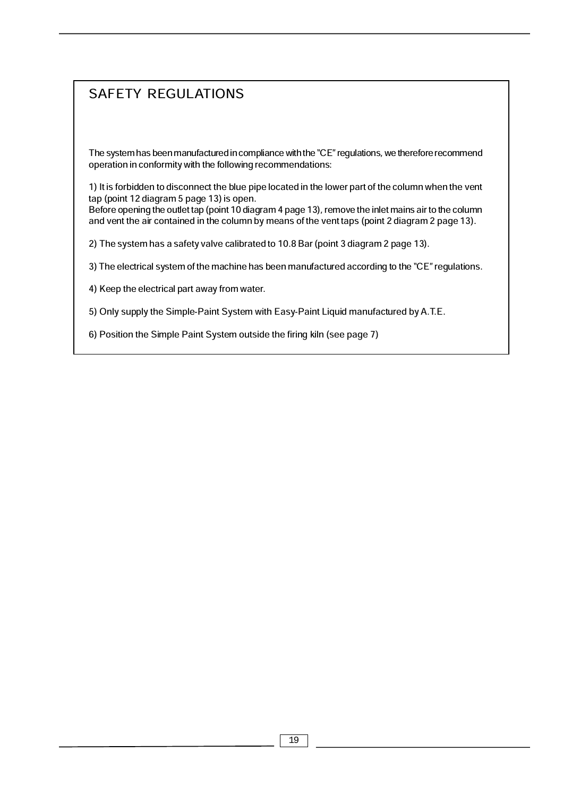# SAFETY REGULATIONS

The system has been manufactured in compliance with the "CE" regulations, we therefore recommend operation in conformity with the following recommendations:

1) It is forbidden to disconnect the blue pipe located in the lower part of the column when the vent tap (point 12 diagram 5 page 13) is open.

Before opening the outlet tap (point 10 diagram 4 page 13), remove the inlet mains air to the column and vent the air contained in the column by means of the vent taps (point 2 diagram 2 page 13).

2) The system has a safety valve calibrated to 10.8 Bar (point 3 diagram 2 page 13).

3) The electrical system of the machine has been manufactured according to the "CE" regulations.

4) Keep the electrical part away from water.

5) Only supply the Simple-Paint System with Easy-Paint Liquid manufactured by A.T.E.

6) Position the Simple Paint System outside the firing kiln (see page 7)